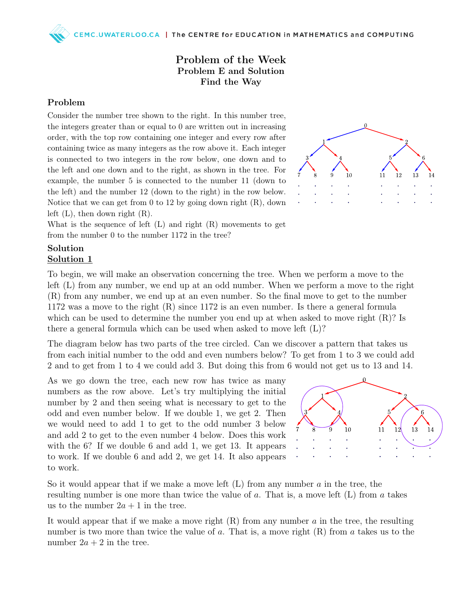## Problem of the Week Problem E and Solution Find the Way

## Problem

Consider the number tree shown to the right. In this number tree, the integers greater than or equal to 0 are written out in increasing order, with the top row containing one integer and every row after containing twice as many integers as the row above it. Each integer is connected to two integers in the row below, one down and to the left and one down and to the right, as shown in the tree. For example, the number 5 is connected to the number 11 (down to the left) and the number 12 (down to the right) in the row below. Notice that we can get from  $0$  to  $12$  by going down right  $(R)$ , down left  $(L)$ , then down right  $(R)$ .



What is the sequence of left  $(L)$  and right  $(R)$  movements to get from the number 0 to the number 1172 in the tree?

## Solution Solution 1

To begin, we will make an observation concerning the tree. When we perform a move to the left (L) from any number, we end up at an odd number. When we perform a move to the right (R) from any number, we end up at an even number. So the final move to get to the number 1172 was a move to the right (R) since 1172 is an even number. Is there a general formula which can be used to determine the number you end up at when asked to move right  $(R)$ ? Is there a general formula which can be used when asked to move left (L)?

The diagram below has two parts of the tree circled. Can we discover a pattern that takes us from each initial number to the odd and even numbers below? To get from 1 to 3 we could add 2 and to get from 1 to 4 we could add 3. But doing this from 6 would not get us to 13 and 14.

As we go down the tree, each new row has twice as many numbers as the row above. Let's try multiplying the initial number by 2 and then seeing what is necessary to get to the odd and even number below. If we double 1, we get 2. Then we would need to add 1 to get to the odd number 3 below and add 2 to get to the even number 4 below. Does this work with the 6? If we double 6 and add 1, we get 13. It appears to work. If we double 6 and add 2, we get 14. It also appears to work.



So it would appear that if we make a move left  $(L)$  from any number a in the tree, the resulting number is one more than twice the value of a. That is, a move left (L) from a takes us to the number  $2a + 1$  in the tree.

It would appear that if we make a move right  $(R)$  from any number a in the tree, the resulting number is two more than twice the value of a. That is, a move right  $(R)$  from a takes us to the number  $2a + 2$  in the tree.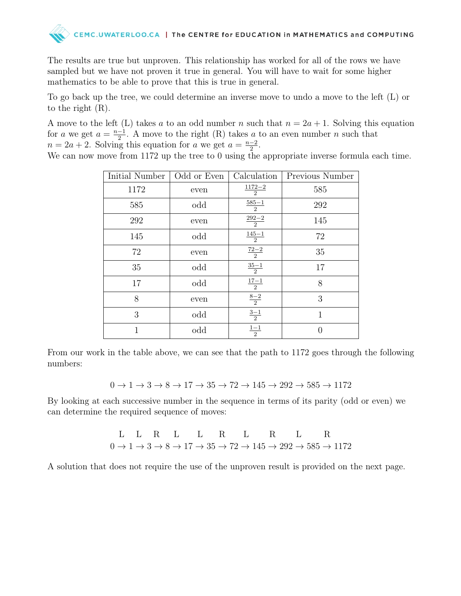

The results are true but unproven. This relationship has worked for all of the rows we have sampled but we have not proven it true in general. You will have to wait for some higher mathematics to be able to prove that this is true in general.

To go back up the tree, we could determine an inverse move to undo a move to the left (L) or to the right (R).

A move to the left (L) takes a to an odd number n such that  $n = 2a + 1$ . Solving this equation for a we get  $a = \frac{n-1}{2}$  $\frac{-1}{2}$ . A move to the right (R) takes a to an even number n such that  $n = 2a + 2$ . Solving this equation for a we get  $a = \frac{n-2}{2}$  $\frac{-2}{2}$ .

We can now move from 1172 up the tree to 0 using the appropriate inverse formula each time.

| Initial Number | Odd or Even | Calculation         | Previous Number |
|----------------|-------------|---------------------|-----------------|
| 1172           | even        | $\frac{1172-2}{2}$  | 585             |
| 585            | odd         | $\frac{585 - 1}{2}$ | 292             |
| 292            | even        | $\frac{292-2}{2}$   | 145             |
| 145            | odd         | $\frac{145 - 1}{2}$ | 72              |
| 72             | even        | $\frac{72-2}{2}$    | 35              |
| 35             | odd         | $\frac{35-1}{2}$    | 17              |
| 17             | odd         | $\frac{17 - 1}{2}$  | 8               |
| 8              | even        | $\frac{8-2}{2}$     | 3               |
| 3              | odd         | $\frac{3-1}{2}$     | 1               |
| 1              | odd         | $\frac{1 - 1}{2}$   |                 |

From our work in the table above, we can see that the path to 1172 goes through the following numbers:

$$
0\rightarrow 1\rightarrow 3\rightarrow 8\rightarrow 17\rightarrow 35\rightarrow 72\rightarrow 145\rightarrow 292\rightarrow 585\rightarrow 1172
$$

By looking at each successive number in the sequence in terms of its parity (odd or even) we can determine the required sequence of moves:

L L R L L R L R L R L R  
\n
$$
0 \rightarrow 1 \rightarrow 3 \rightarrow 8 \rightarrow 17 \rightarrow 35 \rightarrow 72 \rightarrow 145 \rightarrow 292 \rightarrow 585 \rightarrow 1172
$$

A solution that does not require the use of the unproven result is provided on the next page.